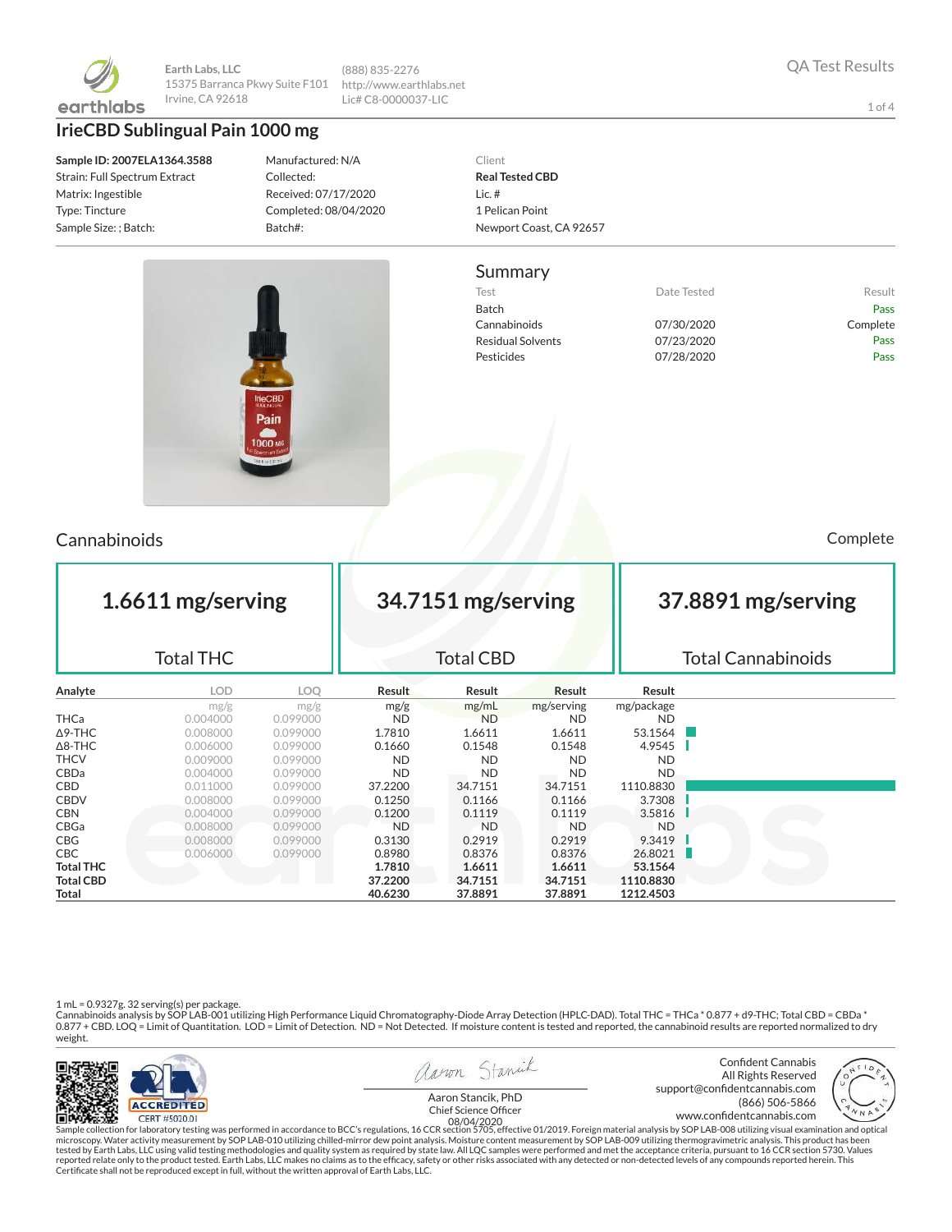

**Earth Labs, LLC** 15375 Barranca Pkwy Suite F101 Irvine, CA 92618

**IrieCBD Sublingual Pain 1000 mg**

**Sample ID: 2007ELA1364.3588** Strain: Full Spectrum Extract Matrix: Ingestible Type: Tincture Sample Size: ; Batch:

Manufactured: N/A Collected: Received: 07/17/2020 Completed: 08/04/2020 Batch#:

(888) 835-2276 http://www.earthlabs.net Lic# C8-0000037-LIC

> Client **Real Tested CBD** Lic. # 1 Pelican Point Newport Coast, CA 92657

#### Summary

Test **Test Result** Date Tested **Result** Batch Pass Cannabinoids 07/30/2020 Complete Residual Solvents 07/23/2020 Pass Pesticides **Data Pass** 07/28/2020 **Pass** 

Cannabinoids Complete

| 1.6611 mg/serving<br><b>Total THC</b> |            |          | 34.7151 mg/serving<br><b>Total CBD</b> |               |            |            | 37.8891 mg/serving<br><b>Total Cannabinoids</b> |  |  |
|---------------------------------------|------------|----------|----------------------------------------|---------------|------------|------------|-------------------------------------------------|--|--|
| Analyte                               | <b>LOD</b> | LOO      | Result                                 | <b>Result</b> | Result     | Result     |                                                 |  |  |
|                                       | mg/g       | mg/g     | mg/g                                   | mg/mL         | mg/serving | mg/package |                                                 |  |  |
| <b>THCa</b>                           | 0.004000   | 0.099000 | <b>ND</b>                              | <b>ND</b>     | <b>ND</b>  | <b>ND</b>  |                                                 |  |  |
| ∆9-THC                                | 0.008000   | 0.099000 | 1.7810                                 | 1.6611        | 1.6611     | 53.1564    |                                                 |  |  |
| $\Delta$ 8-THC                        | 0.006000   | 0.099000 | 0.1660                                 | 0.1548        | 0.1548     | 4.9545     |                                                 |  |  |
| <b>THCV</b>                           | 0.009000   | 0.099000 | <b>ND</b>                              | <b>ND</b>     | <b>ND</b>  | ND.        |                                                 |  |  |
| CBDa                                  | 0.004000   | 0.099000 | <b>ND</b>                              | <b>ND</b>     | <b>ND</b>  | <b>ND</b>  |                                                 |  |  |
| CBD                                   | 0.011000   | 0.099000 | 37.2200                                | 34.7151       | 34.7151    | 1110.8830  |                                                 |  |  |
| CBDV                                  | 0.008000   | 0.099000 | 0.1250                                 | 0.1166        | 0.1166     | 3.7308     |                                                 |  |  |
| <b>CBN</b>                            | 0.004000   | 0.099000 | 0.1200                                 | 0.1119        | 0.1119     | 3.5816     |                                                 |  |  |
| CBGa                                  | 0.008000   | 0.099000 | ND.                                    | <b>ND</b>     | <b>ND</b>  | ND.        |                                                 |  |  |
| CBG                                   | 0.008000   | 0.099000 | 0.3130                                 | 0.2919        | 0.2919     | 9.3419     |                                                 |  |  |
| CBC                                   | 0.006000   | 0.099000 | 0.8980                                 | 0.8376        | 0.8376     | 26.8021    |                                                 |  |  |
| <b>Total THC</b>                      |            |          | 1.7810                                 | 1.6611        | 1.6611     | 53.1564    |                                                 |  |  |
| <b>Total CBD</b>                      |            |          | 37.2200                                | 34.7151       | 34.7151    | 1110.8830  |                                                 |  |  |
| Total                                 |            |          | 40.6230                                | 37.8891       | 37.8891    | 1212.4503  |                                                 |  |  |

1 mL = 0.9327g. 32 serving(s) per package.<br>Cannabinoids analysis by SOP LAB-001 utilizing High Performance Liquid Chromatography-Diode Array Detection (HPLC-DAD). Total THC = THCa \* 0.877 + d9-THC; Total CBD = CBDa \*<br>0.87 weight.



Sample collection for laboratory testing was performed in accordance to BCC's regulations, 16 CCR section 5705, effective 01/2019. Foreign material analysis by SOP LAB-008 utilizing visual examination and optical fissure o

1 of 4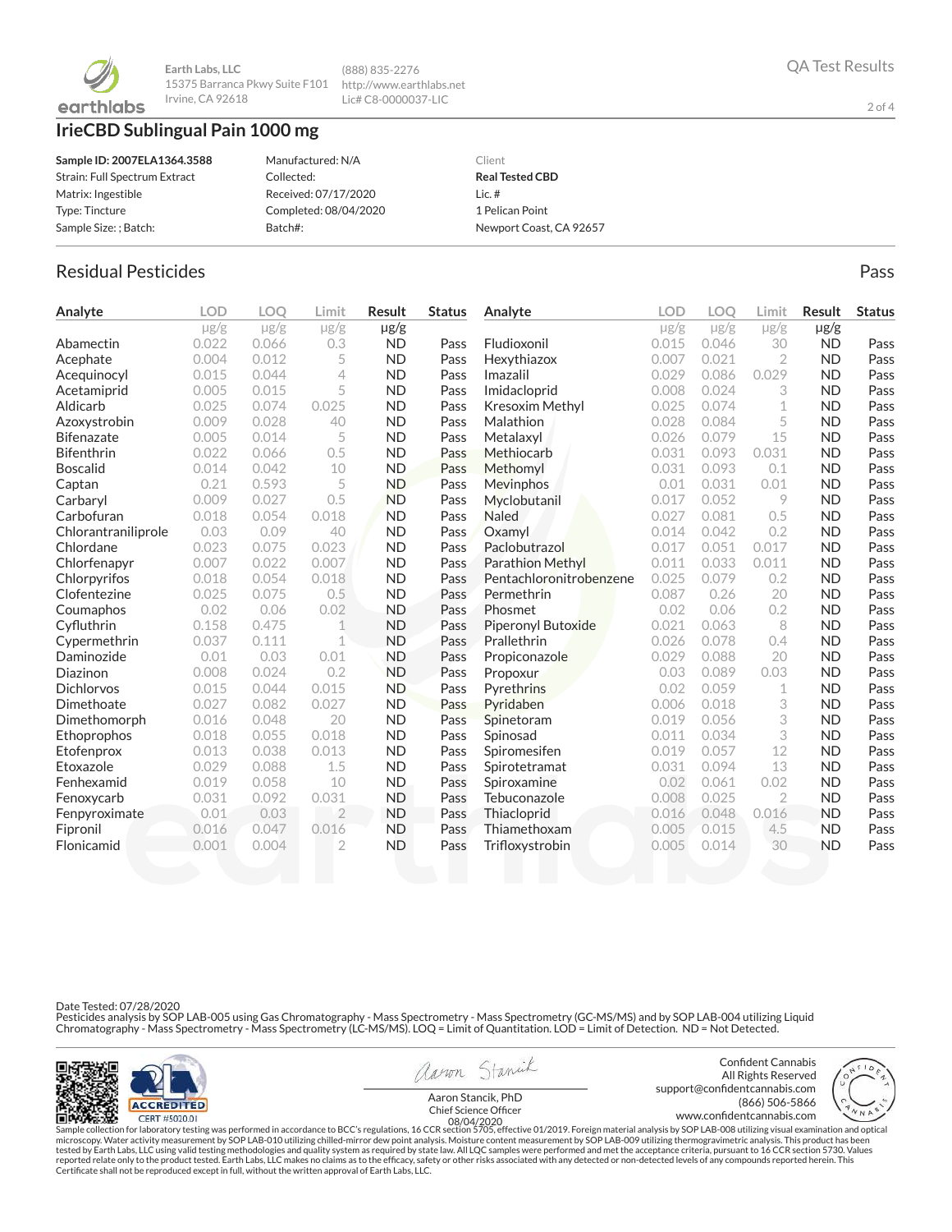

**Earth Labs, LLC** 15375 Barranca Pkwy Suite F101 http://www.earthlabs.net Irvine, CA 92618

# **IrieCBD Sublingual Pain 1000 mg**

| Sample ID: 2007ELA1364.3588   | Manufactured: N/A     | Client                  |
|-------------------------------|-----------------------|-------------------------|
| Strain: Full Spectrum Extract | Collected:            | <b>Real Tested CBD</b>  |
| Matrix: Ingestible            | Received: 07/17/2020  | Lic. $#$                |
| Type: Tincture                | Completed: 08/04/2020 | 1 Pelican Point         |
| Sample Size: ; Batch:         | Batch#:               | Newport Coast, CA 92657 |

(888) 835-2276 Lic# C8-0000037-LIC

# Residual Pesticides **Passage Community Community Community** Pass Pass Pass

| Analyte             | <b>LOD</b> | <b>LOO</b> | Limit          | <b>Result</b> | <b>Status</b> | Analyte                 | LOD       | <b>LOO</b> | Limit          | <b>Result</b> | <b>Status</b> |
|---------------------|------------|------------|----------------|---------------|---------------|-------------------------|-----------|------------|----------------|---------------|---------------|
|                     | $\mu$ g/g  | $\mu$ g/g  | $\mu$ g/g      | $\mu$ g/g     |               |                         | $\mu$ g/g | $\mu$ g/g  | $\mu$ g/g      | $\mu$ g/g     |               |
| Abamectin           | 0.022      | 0.066      | 0.3            | <b>ND</b>     | Pass          | Fludioxonil             | 0.015     | 0.046      | 30             | <b>ND</b>     | Pass          |
| Acephate            | 0.004      | 0.012      | 5              | <b>ND</b>     | Pass          | Hexythiazox             | 0.007     | 0.021      | $\overline{2}$ | <b>ND</b>     | Pass          |
| Acequinocyl         | 0.015      | 0.044      | $\overline{4}$ | <b>ND</b>     | Pass          | Imazalil                | 0.029     | 0.086      | 0.029          | <b>ND</b>     | Pass          |
| Acetamiprid         | 0.005      | 0.015      | 5              | <b>ND</b>     | Pass          | Imidacloprid            | 0.008     | 0.024      | 3              | <b>ND</b>     | Pass          |
| Aldicarb            | 0.025      | 0.074      | 0.025          | <b>ND</b>     | Pass          | Kresoxim Methyl         | 0.025     | 0.074      | 1              | <b>ND</b>     | Pass          |
| Azoxystrobin        | 0.009      | 0.028      | 40             | <b>ND</b>     | Pass          | Malathion               | 0.028     | 0.084      | 5              | <b>ND</b>     | Pass          |
| <b>Bifenazate</b>   | 0.005      | 0.014      | 5              | <b>ND</b>     | Pass          | Metalaxyl               | 0.026     | 0.079      | 15             | <b>ND</b>     | Pass          |
| <b>Bifenthrin</b>   | 0.022      | 0.066      | 0.5            | <b>ND</b>     | Pass          | Methiocarb              | 0.031     | 0.093      | 0.031          | <b>ND</b>     | Pass          |
| <b>Boscalid</b>     | 0.014      | 0.042      | 10             | <b>ND</b>     | Pass          | Methomyl                | 0.031     | 0.093      | 0.1            | <b>ND</b>     | Pass          |
| Captan              | 0.21       | 0.593      | 5              | <b>ND</b>     | Pass          | Mevinphos               | 0.01      | 0.031      | 0.01           | <b>ND</b>     | Pass          |
| Carbaryl            | 0.009      | 0.027      | 0.5            | <b>ND</b>     | Pass          | Myclobutanil            | 0.017     | 0.052      | 9              | <b>ND</b>     | Pass          |
| Carbofuran          | 0.018      | 0.054      | 0.018          | <b>ND</b>     | Pass          | <b>Naled</b>            | 0.027     | 0.081      | 0.5            | <b>ND</b>     | Pass          |
| Chlorantraniliprole | 0.03       | 0.09       | 40             | <b>ND</b>     | Pass          | Oxamyl                  | 0.014     | 0.042      | 0.2            | <b>ND</b>     | Pass          |
| Chlordane           | 0.023      | 0.075      | 0.023          | <b>ND</b>     | Pass          | Paclobutrazol           | 0.017     | 0.051      | 0.017          | <b>ND</b>     | Pass          |
| Chlorfenapyr        | 0.007      | 0.022      | 0.007          | <b>ND</b>     | Pass          | <b>Parathion Methyl</b> | 0.011     | 0.033      | 0.011          | <b>ND</b>     | Pass          |
| Chlorpyrifos        | 0.018      | 0.054      | 0.018          | <b>ND</b>     | Pass          | Pentachloronitrobenzene | 0.025     | 0.079      | 0.2            | <b>ND</b>     | Pass          |
| Clofentezine        | 0.025      | 0.075      | 0.5            | <b>ND</b>     | Pass          | Permethrin              | 0.087     | 0.26       | 20             | <b>ND</b>     | Pass          |
| Coumaphos           | 0.02       | 0.06       | 0.02           | <b>ND</b>     | Pass          | Phosmet                 | 0.02      | 0.06       | 0.2            | <b>ND</b>     | Pass          |
| Cyfluthrin          | 0.158      | 0.475      | 1              | <b>ND</b>     | Pass          | Piperonyl Butoxide      | 0.021     | 0.063      | 8              | <b>ND</b>     | Pass          |
| Cypermethrin        | 0.037      | 0.111      | 1              | <b>ND</b>     | Pass          | Prallethrin             | 0.026     | 0.078      | 0.4            | <b>ND</b>     | Pass          |
| Daminozide          | 0.01       | 0.03       | 0.01           | <b>ND</b>     | Pass          | Propiconazole           | 0.029     | 0.088      | 20             | <b>ND</b>     | Pass          |
| Diazinon            | 0.008      | 0.024      | 0.2            | <b>ND</b>     | Pass          | Propoxur                | 0.03      | 0.089      | 0.03           | <b>ND</b>     | Pass          |
| <b>Dichlorvos</b>   | 0.015      | 0.044      | 0.015          | <b>ND</b>     | Pass          | Pyrethrins              | 0.02      | 0.059      | 1              | <b>ND</b>     | Pass          |
| Dimethoate          | 0.027      | 0.082      | 0.027          | <b>ND</b>     | Pass          | Pyridaben               | 0.006     | 0.018      | 3              | <b>ND</b>     | Pass          |
| Dimethomorph        | 0.016      | 0.048      | 20             | <b>ND</b>     | Pass          | Spinetoram              | 0.019     | 0.056      | 3              | <b>ND</b>     | Pass          |
| Ethoprophos         | 0.018      | 0.055      | 0.018          | <b>ND</b>     | Pass          | Spinosad                | 0.011     | 0.034      | 3              | <b>ND</b>     | Pass          |
| Etofenprox          | 0.013      | 0.038      | 0.013          | <b>ND</b>     | Pass          | Spiromesifen            | 0.019     | 0.057      | 12             | <b>ND</b>     | Pass          |
| Etoxazole           | 0.029      | 0.088      | 1.5            | <b>ND</b>     | Pass          | Spirotetramat           | 0.031     | 0.094      | 13             | <b>ND</b>     | Pass          |
| Fenhexamid          | 0.019      | 0.058      | 10             | <b>ND</b>     | Pass          | Spiroxamine             | 0.02      | 0.061      | 0.02           | <b>ND</b>     | Pass          |
| Fenoxycarb          | 0.031      | 0.092      | 0.031          | <b>ND</b>     | Pass          | Tebuconazole            | 0.008     | 0.025      | $\overline{2}$ | <b>ND</b>     | Pass          |
| Fenpyroximate       | 0.01       | 0.03       | $\overline{2}$ | <b>ND</b>     | Pass          | Thiacloprid             | 0.016     | 0.048      | 0.016          | <b>ND</b>     | Pass          |
| Fipronil            | 0.016      | 0.047      | 0.016          | <b>ND</b>     | Pass          | Thiamethoxam            | 0.005     | 0.015      | 4.5            | <b>ND</b>     | Pass          |
| Flonicamid          | 0.001      | 0.004      | $\overline{2}$ | <b>ND</b>     | Pass          | Trifloxystrobin         | 0.005     | 0.014      | 30             | <b>ND</b>     | Pass          |
|                     |            |            |                |               |               |                         |           |            |                |               |               |

Date Tested: 07/28/2020

Pesticides analysis by SOP LAB-005 using Gas Chromatography - Mass Spectrometry - Mass Spectrometry (GC-MS/MS) and by SOP LAB-004 utilizing Liquid<br>Chromatography - Mass Spectrometry - Mass Spectrometry (LC-MS/MS). LOQ = Li



aaron Stanick

Confident Cannabis support@confidentcannabis.com<br>666-5866 (866) 506-5866

All Rights Reserved (866) 506-5866

2 of 4

www.condentcannabis.com 08/04/2020Aaron Stancik, PhD<br>Chief Science Officer

Sample collection for laboratory testing was performed in accordance to BCC's regulations, 16 CCR section 5705, effective 01/2019. Foreign material analysis by SOP LAB-008 utilizing visual examination and optical fissure o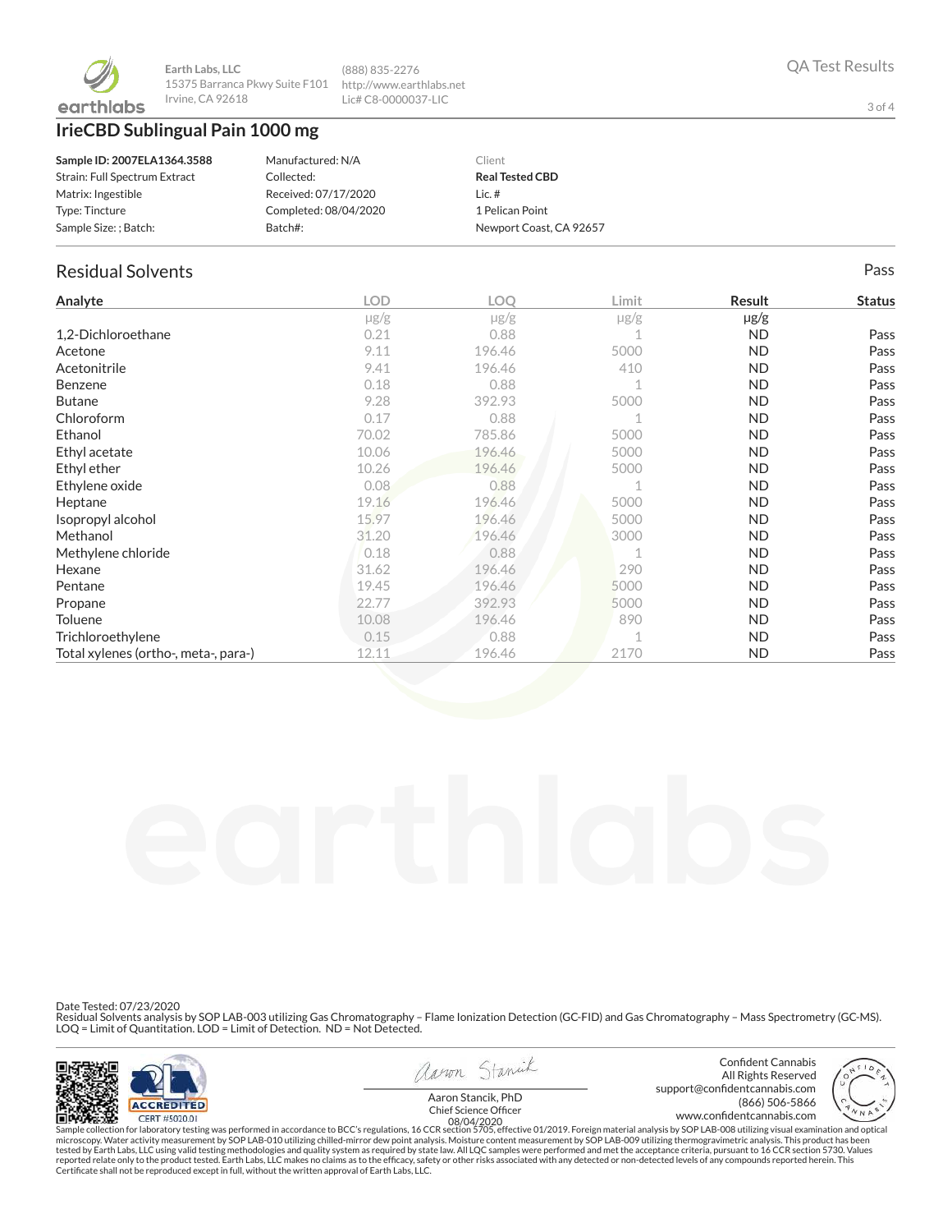

# **IrieCBD Sublingual Pain 1000 mg**

| Sample ID: 2007ELA1364.3588   | Manufactured: N/A     | Client                  |
|-------------------------------|-----------------------|-------------------------|
| Strain: Full Spectrum Extract | Collected:            | <b>Real Tested CBD</b>  |
| Matrix: Ingestible            | Received: 07/17/2020  | Lic. $#$                |
| Type: Tincture                | Completed: 08/04/2020 | 1 Pelican Point         |
| Sample Size: ; Batch:         | Batch#:               | Newport Coast, CA 92657 |

(888) 835-2276 http://www.earthlabs.net Lic# C8-0000037-LIC

### Residual Solvents Pass

| Analyte                              | <b>LOD</b> | LOQ       | Limit | Result    | <b>Status</b> |
|--------------------------------------|------------|-----------|-------|-----------|---------------|
|                                      | $\mu$ g/g  | $\mu$ g/g | µg/g  | $\mu$ g/g |               |
| 1,2-Dichloroethane                   | 0.21       | 0.88      |       | ND.       | Pass          |
| Acetone                              | 9.11       | 196.46    | 5000  | ND.       | Pass          |
| Acetonitrile                         | 9.41       | 196.46    | 410   | ND.       | Pass          |
| Benzene                              | 0.18       | 0.88      |       | <b>ND</b> | Pass          |
| <b>Butane</b>                        | 9.28       | 392.93    | 5000  | ND.       | Pass          |
| Chloroform                           | 0.17       | 0.88      |       | ND.       | Pass          |
| Ethanol                              | 70.02      | 785.86    | 5000  | ND.       | Pass          |
| Ethyl acetate                        | 10.06      | 196.46    | 5000  | ND.       | Pass          |
| Ethyl ether                          | 10.26      | 196.46    | 5000  | ND.       | Pass          |
| Ethylene oxide                       | 0.08       | 0.88      |       | ND.       | Pass          |
| Heptane                              | 19.16      | 196.46    | 5000  | <b>ND</b> | Pass          |
| Isopropyl alcohol                    | 15.97      | 196.46    | 5000  | ND.       | Pass          |
| Methanol                             | 31.20      | 196.46    | 3000  | ND.       | Pass          |
| Methylene chloride                   | 0.18       | 0.88      |       | ND.       | Pass          |
| Hexane                               | 31.62      | 196.46    | 290   | ND.       | Pass          |
| Pentane                              | 19.45      | 196.46    | 5000  | ND.       | Pass          |
| Propane                              | 22.77      | 392.93    | 5000  | <b>ND</b> | Pass          |
| Toluene                              | 10.08      | 196.46    | 890   | <b>ND</b> | Pass          |
| Trichloroethylene                    | 0.15       | 0.88      |       | ND.       | Pass          |
| Total xylenes (ortho-, meta-, para-) | 12.11      | 196.46    | 2170  | <b>ND</b> | Pass          |

Date Tested: 07/23/2020

Residual Solvents analysis by SOP LAB-003 utilizing Gas Chromatography – Flame Ionization Detection (GC-FID) and Gas Chromatography – Mass Spectrometry (GC-MS).<br>LOQ = Limit of Quantitation. LOD = Limit of Detection. ND = N



aaron Stanick

Confident Cannabis All Rights Reserved support@confidentcannabis.com<br>666-5866 (866) 506-5866 (866) 506-5866



www.condentcannabis.com 08/04/2020Aaron Stancik, PhD<br>Chief Science Officer

Sample collection for laboratory testing was performed in accordance to BCC's regulations, 16 CCR section 5705, effective 01/2019. Foreign material analysis by SOP LAB-008 utilizing visual examination and optical fissure o

3 of 4